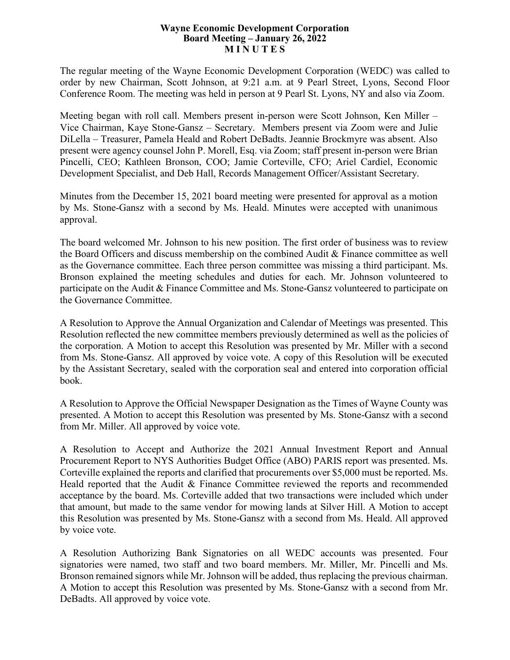## **Wayne Economic Development Corporation Board Meeting – January 26, 2022 M I N U T E S**

The regular meeting of the Wayne Economic Development Corporation (WEDC) was called to order by new Chairman, Scott Johnson, at 9:21 a.m. at 9 Pearl Street, Lyons, Second Floor Conference Room. The meeting was held in person at 9 Pearl St. Lyons, NY and also via Zoom.

Meeting began with roll call. Members present in-person were Scott Johnson, Ken Miller – Vice Chairman, Kaye Stone-Gansz – Secretary. Members present via Zoom were and Julie DiLella – Treasurer, Pamela Heald and Robert DeBadts. Jeannie Brockmyre was absent. Also present were agency counsel John P. Morell, Esq. via Zoom; staff present in-person were Brian Pincelli, CEO; Kathleen Bronson, COO; Jamie Corteville, CFO; Ariel Cardiel, Economic Development Specialist, and Deb Hall, Records Management Officer/Assistant Secretary.

Minutes from the December 15, 2021 board meeting were presented for approval as a motion by Ms. Stone-Gansz with a second by Ms. Heald. Minutes were accepted with unanimous approval.

The board welcomed Mr. Johnson to his new position. The first order of business was to review the Board Officers and discuss membership on the combined Audit & Finance committee as well as the Governance committee. Each three person committee was missing a third participant. Ms. Bronson explained the meeting schedules and duties for each. Mr. Johnson volunteered to participate on the Audit & Finance Committee and Ms. Stone-Gansz volunteered to participate on the Governance Committee.

A Resolution to Approve the Annual Organization and Calendar of Meetings was presented. This Resolution reflected the new committee members previously determined as well as the policies of the corporation. A Motion to accept this Resolution was presented by Mr. Miller with a second from Ms. Stone-Gansz. All approved by voice vote. A copy of this Resolution will be executed by the Assistant Secretary, sealed with the corporation seal and entered into corporation official book.

A Resolution to Approve the Official Newspaper Designation as the Times of Wayne County was presented. A Motion to accept this Resolution was presented by Ms. Stone-Gansz with a second from Mr. Miller. All approved by voice vote.

A Resolution to Accept and Authorize the 2021 Annual Investment Report and Annual Procurement Report to NYS Authorities Budget Office (ABO) PARIS report was presented. Ms. Corteville explained the reports and clarified that procurements over \$5,000 must be reported. Ms. Heald reported that the Audit & Finance Committee reviewed the reports and recommended acceptance by the board. Ms. Corteville added that two transactions were included which under that amount, but made to the same vendor for mowing lands at Silver Hill. A Motion to accept this Resolution was presented by Ms. Stone-Gansz with a second from Ms. Heald. All approved by voice vote.

A Resolution Authorizing Bank Signatories on all WEDC accounts was presented. Four signatories were named, two staff and two board members. Mr. Miller, Mr. Pincelli and Ms. Bronson remained signors while Mr. Johnson will be added, thus replacing the previous chairman. A Motion to accept this Resolution was presented by Ms. Stone-Gansz with a second from Mr. DeBadts. All approved by voice vote.